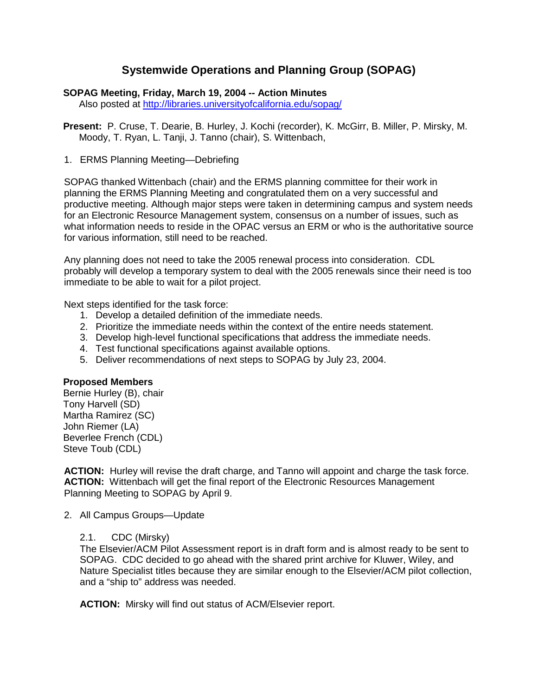# **Systemwide Operations and Planning Group (SOPAG)**

#### **SOPAG Meeting, Friday, March 19, 2004 -- Action Minutes**

Also posted at<http://libraries.universityofcalifornia.edu/sopag/>

**Present:** P. Cruse, T. Dearie, B. Hurley, J. Kochi (recorder), K. McGirr, B. Miller, P. Mirsky, M. Moody, T. Ryan, L. Tanji, J. Tanno (chair), S. Wittenbach,

1. ERMS Planning Meeting—Debriefing

SOPAG thanked Wittenbach (chair) and the ERMS planning committee for their work in planning the ERMS Planning Meeting and congratulated them on a very successful and productive meeting. Although major steps were taken in determining campus and system needs for an Electronic Resource Management system, consensus on a number of issues, such as what information needs to reside in the OPAC versus an ERM or who is the authoritative source for various information, still need to be reached.

Any planning does not need to take the 2005 renewal process into consideration. CDL probably will develop a temporary system to deal with the 2005 renewals since their need is too immediate to be able to wait for a pilot project.

Next steps identified for the task force:

- 1. Develop a detailed definition of the immediate needs.
- 2. Prioritize the immediate needs within the context of the entire needs statement.
- 3. Develop high-level functional specifications that address the immediate needs.
- 4. Test functional specifications against available options.
- 5. Deliver recommendations of next steps to SOPAG by July 23, 2004.

# **Proposed Members**

Bernie Hurley (B), chair Tony Harvell (SD) Martha Ramirez (SC) John Riemer (LA) Beverlee French (CDL) Steve Toub (CDL)

**ACTION:** Hurley will revise the draft charge, and Tanno will appoint and charge the task force. **ACTION:** Wittenbach will get the final report of the Electronic Resources Management Planning Meeting to SOPAG by April 9.

2. All Campus Groups—Update

#### 2.1. CDC (Mirsky)

The Elsevier/ACM Pilot Assessment report is in draft form and is almost ready to be sent to SOPAG. CDC decided to go ahead with the shared print archive for Kluwer, Wiley, and Nature Specialist titles because they are similar enough to the Elsevier/ACM pilot collection, and a "ship to" address was needed.

**ACTION:** Mirsky will find out status of ACM/Elsevier report.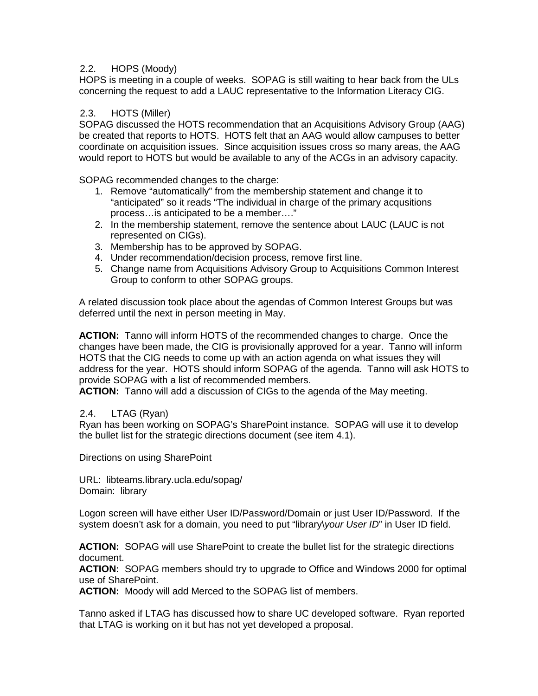# 2.2. HOPS (Moody)

HOPS is meeting in a couple of weeks. SOPAG is still waiting to hear back from the ULs concerning the request to add a LAUC representative to the Information Literacy CIG.

#### 2.3. HOTS (Miller)

SOPAG discussed the HOTS recommendation that an Acquisitions Advisory Group (AAG) be created that reports to HOTS. HOTS felt that an AAG would allow campuses to better coordinate on acquisition issues. Since acquisition issues cross so many areas, the AAG would report to HOTS but would be available to any of the ACGs in an advisory capacity.

SOPAG recommended changes to the charge:

- 1. Remove "automatically" from the membership statement and change it to "anticipated" so it reads "The individual in charge of the primary acqusitions process…is anticipated to be a member…."
- 2. In the membership statement, remove the sentence about LAUC (LAUC is not represented on CIGs).
- 3. Membership has to be approved by SOPAG.
- 4. Under recommendation/decision process, remove first line.
- 5. Change name from Acquisitions Advisory Group to Acquisitions Common Interest Group to conform to other SOPAG groups.

A related discussion took place about the agendas of Common Interest Groups but was deferred until the next in person meeting in May.

**ACTION:** Tanno will inform HOTS of the recommended changes to charge. Once the changes have been made, the CIG is provisionally approved for a year. Tanno will inform HOTS that the CIG needs to come up with an action agenda on what issues they will address for the year. HOTS should inform SOPAG of the agenda. Tanno will ask HOTS to provide SOPAG with a list of recommended members.

**ACTION:** Tanno will add a discussion of CIGs to the agenda of the May meeting.

# 2.4. LTAG (Ryan)

Ryan has been working on SOPAG's SharePoint instance. SOPAG will use it to develop the bullet list for the strategic directions document (see item 4.1).

Directions on using SharePoint

URL: libteams.library.ucla.edu/sopag/ Domain: library

Logon screen will have either User ID/Password/Domain or just User ID/Password. If the system doesn't ask for a domain, you need to put "library\*your User ID*" in User ID field.

**ACTION:** SOPAG will use SharePoint to create the bullet list for the strategic directions document.

**ACTION:** SOPAG members should try to upgrade to Office and Windows 2000 for optimal use of SharePoint.

**ACTION:** Moody will add Merced to the SOPAG list of members.

Tanno asked if LTAG has discussed how to share UC developed software. Ryan reported that LTAG is working on it but has not yet developed a proposal.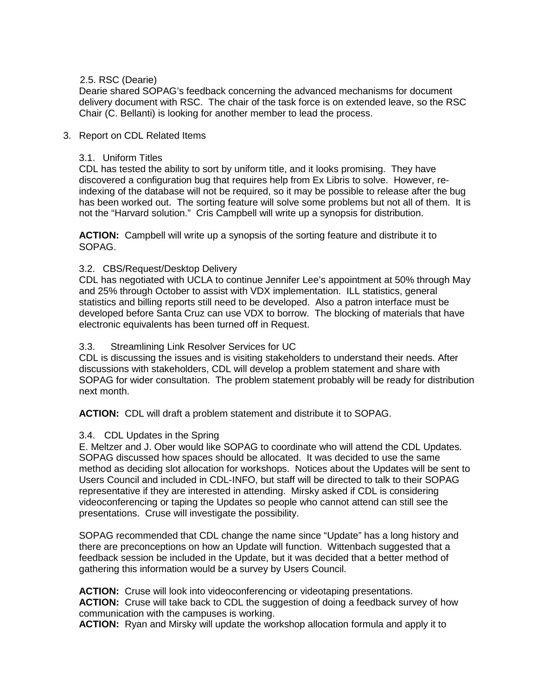# 2.5. RSC (Dearie)

Dearie shared SOPAG's feedback concerning the advanced mechanisms for document delivery document with RSC. The chair of the task force is on extended leave, so the RSC Chair (C. Bellanti) is looking for another member to lead the process.

# 3. Report on CDL Related Items

### 3.1. Uniform Titles

CDL has tested the ability to sort by uniform title, and it looks promising. They have discovered a configuration bug that requires help from Ex Libris to solve. However, reindexing of the database will not be required, so it may be possible to release after the bug has been worked out. The sorting feature will solve some problems but not all of them. It is not the "Harvard solution." Cris Campbell will write up a synopsis for distribution.

**ACTION:** Campbell will write up a synopsis of the sorting feature and distribute it to SOPAG.

#### 3.2. CBS/Request/Desktop Delivery

CDL has negotiated with UCLA to continue Jennifer Lee's appointment at 50% through May and 25% through October to assist with VDX implementation. ILL statistics, general statistics and billing reports still need to be developed. Also a patron interface must be developed before Santa Cruz can use VDX to borrow. The blocking of materials that have electronic equivalents has been turned off in Request.

#### 3.3. Streamlining Link Resolver Services for UC

CDL is discussing the issues and is visiting stakeholders to understand their needs. After discussions with stakeholders, CDL will develop a problem statement and share with SOPAG for wider consultation. The problem statement probably will be ready for distribution next month.

**ACTION:** CDL will draft a problem statement and distribute it to SOPAG.

# 3.4. CDL Updates in the Spring

E. Meltzer and J. Ober would like SOPAG to coordinate who will attend the CDL Updates. SOPAG discussed how spaces should be allocated. It was decided to use the same method as deciding slot allocation for workshops. Notices about the Updates will be sent to Users Council and included in CDL-INFO, but staff will be directed to talk to their SOPAG representative if they are interested in attending. Mirsky asked if CDL is considering videoconferencing or taping the Updates so people who cannot attend can still see the presentations. Cruse will investigate the possibility.

SOPAG recommended that CDL change the name since "Update" has a long history and there are preconceptions on how an Update will function. Wittenbach suggested that a feedback session be included in the Update, but it was decided that a better method of gathering this information would be a survey by Users Council.

**ACTION:** Cruse will look into videoconferencing or videotaping presentations. **ACTION:** Cruse will take back to CDL the suggestion of doing a feedback survey of how communication with the campuses is working.

**ACTION:** Ryan and Mirsky will update the workshop allocation formula and apply it to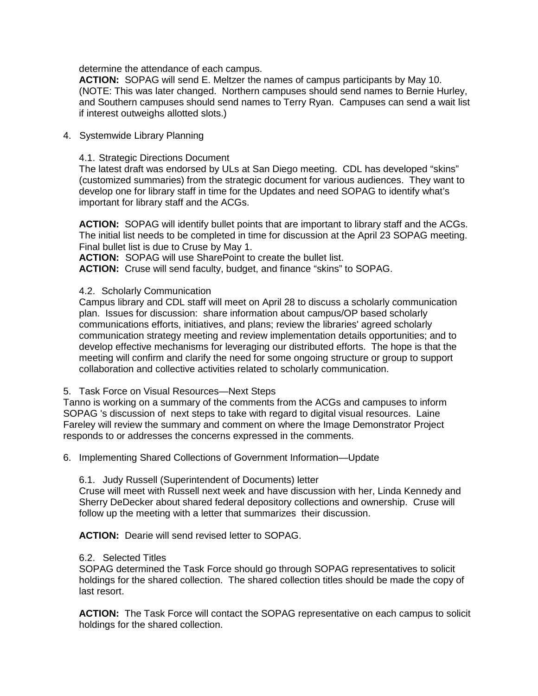determine the attendance of each campus.

**ACTION:** SOPAG will send E. Meltzer the names of campus participants by May 10. (NOTE: This was later changed. Northern campuses should send names to Bernie Hurley, and Southern campuses should send names to Terry Ryan. Campuses can send a wait list if interest outweighs allotted slots.)

4. Systemwide Library Planning

4.1. Strategic Directions Document

The latest draft was endorsed by ULs at San Diego meeting. CDL has developed "skins" (customized summaries) from the strategic document for various audiences. They want to develop one for library staff in time for the Updates and need SOPAG to identify what's important for library staff and the ACGs.

**ACTION:** SOPAG will identify bullet points that are important to library staff and the ACGs. The initial list needs to be completed in time for discussion at the April 23 SOPAG meeting. Final bullet list is due to Cruse by May 1.

**ACTION:** SOPAG will use SharePoint to create the bullet list.

**ACTION:** Cruse will send faculty, budget, and finance "skins" to SOPAG.

4.2. Scholarly Communication

Campus library and CDL staff will meet on April 28 to discuss a scholarly communication plan. Issues for discussion: share information about campus/OP based scholarly communications efforts, initiatives, and plans; review the libraries' agreed scholarly communication strategy meeting and review implementation details opportunities; and to develop effective mechanisms for leveraging our distributed efforts. The hope is that the meeting will confirm and clarify the need for some ongoing structure or group to support collaboration and collective activities related to scholarly communication.

5. Task Force on Visual Resources—Next Steps

Tanno is working on a summary of the comments from the ACGs and campuses to inform SOPAG 's discussion of next steps to take with regard to digital visual resources. Laine Fareley will review the summary and comment on where the Image Demonstrator Project responds to or addresses the concerns expressed in the comments.

6. Implementing Shared Collections of Government Information—Update

6.1. Judy Russell (Superintendent of Documents) letter

Cruse will meet with Russell next week and have discussion with her, Linda Kennedy and Sherry DeDecker about shared federal depository collections and ownership. Cruse will follow up the meeting with a letter that summarizes their discussion.

**ACTION:** Dearie will send revised letter to SOPAG.

#### 6.2. Selected Titles

SOPAG determined the Task Force should go through SOPAG representatives to solicit holdings for the shared collection. The shared collection titles should be made the copy of last resort.

**ACTION:** The Task Force will contact the SOPAG representative on each campus to solicit holdings for the shared collection.